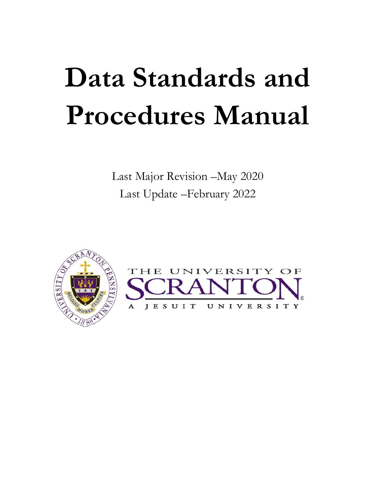# **Data Standards and Procedures Manual**

Last Major Revision –May 2020 Last Update –February 2022

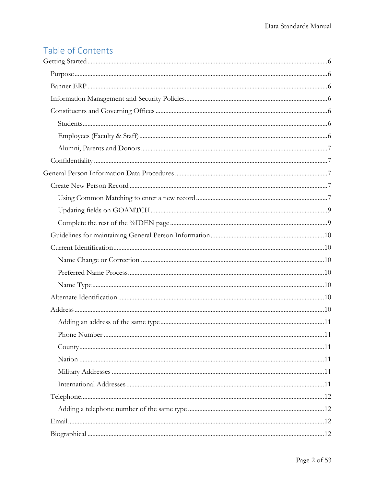## Table of Contents

| Address 10 |  |
|------------|--|
|            |  |
|            |  |
|            |  |
|            |  |
|            |  |
|            |  |
|            |  |
|            |  |
|            |  |
|            |  |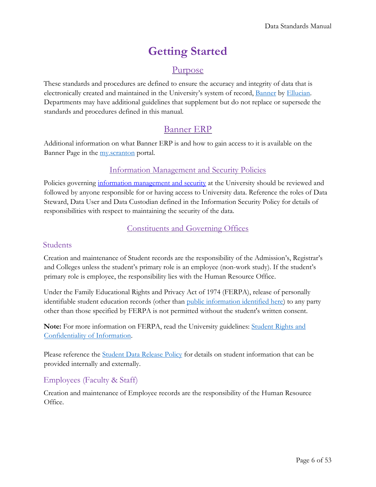# **Getting Started**

### Purpose

<span id="page-5-1"></span><span id="page-5-0"></span>These standards and procedures are defined to ensure the accuracy and integrity of data that is electronically created and maintained in the University's system of record, [Banner](#page-5-2) by [Ellucian.](http://www.ellucian.com/) Departments may have additional guidelines that supplement but do not replace or supersede the standards and procedures defined in this manual.

### Banner ERP

<span id="page-5-2"></span>Additional information on what Banner ERP is and how to gain access to it is available on the Banner Page in the [my.scranton](https://my.scranton.edu/) portal.

### Information Management and Security Policies

<span id="page-5-3"></span>Policies governing [information management and security](https://www.scranton.edu/information-technology/policies.shtml) at the University should be reviewed and followed by anyone responsible for or having access to University data. Reference the roles of Data Steward, Data User and Data Custodian defined in the Information Security Policy for details of responsibilities with respect to maintaining the security of the data.

### Constituents and Governing Offices

### <span id="page-5-5"></span><span id="page-5-4"></span>Students

Creation and maintenance of Student records are the responsibility of the Admission's, Registrar's and Colleges unless the student's primary role is an employee (non-work study). If the student's primary role is employee, the responsibility lies with the Human Resource Office.

Under the Family Educational Rights and Privacy Act of 1974 (FERPA), release of personally identifiable student education records (other than [public information identified here\)](https://catalog.scranton.edu/content.php?catoid=37&navoid=4422#student_rights_and-confidentiality_of_information) to any party other than those specified by FERPA is not permitted without the student's written consent.

**Note:** For more information on FERPA, read the University guidelines: [Student Rights and](https://catalog.scranton.edu/content.php?catoid=37&navoid=4422#student_rights_and-confidentiality_of_information)  [Confidentiality of Information.](https://catalog.scranton.edu/content.php?catoid=37&navoid=4422#student_rights_and-confidentiality_of_information)

Please reference the [Student Data Release Policy](http://www.academic.scranton.edu/academics/provost/PDFs/academic-policies/5-18%20Data%20Release%20Policy%20final%20May%202018.pdf) for details on student information that can be provided internally and externally.

### <span id="page-5-6"></span>Employees (Faculty & Staff)

Creation and maintenance of Employee records are the responsibility of the Human Resource Office.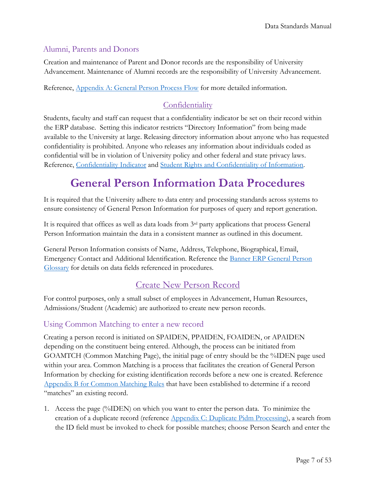### <span id="page-6-0"></span>Alumni, Parents and Donors

Creation and maintenance of Parent and Donor records are the responsibility of University Advancement. Maintenance of Alumni records are the responsibility of University Advancement.

Reference, [Appendix A: General Person Process Flow](#page-26-0) for more detailed information.

### **Confidentiality**

<span id="page-6-1"></span>Students, faculty and staff can request that a confidentiality indicator be set on their record within the ERP database. Setting this indicator restricts "Directory Information" from being made available to the University at large. Releasing directory information about anyone who has requested confidentiality is prohibited. Anyone who releases any information about individuals coded as confidential will be in violation of University policy and other federal and state privacy laws. Reference, [Confidentiality](#page-11-4) Indicator and [Student Rights and Confidentiality of Information.](https://catalog.scranton.edu/content.php?catoid=37&navoid=4422#student_rights_and-confidentiality_of_information)

# **General Person Information Data Procedures**

<span id="page-6-2"></span>It is required that the University adhere to data entry and processing standards across systems to ensure consistency of General Person Information for purposes of query and report generation.

It is required that offices as well as data loads from  $3<sup>rd</sup>$  party applications that process General Person Information maintain the data in a consistent manner as outlined in this document.

General Person Information consists of Name, Address, Telephone, Biographical, Email, Emergency Contact and Additional Identification. Reference the [Banner ERP General Person](#page-39-1)  [Glossary](#page-39-1) for details on data fields referenced in procedures.

### Create New Person Record

<span id="page-6-3"></span>For control purposes, only a small subset of employees in Advancement, Human Resources, Admissions/Student (Academic) are authorized to create new person records.

### <span id="page-6-4"></span>Using Common Matching to enter a new record

Creating a person record is initiated on SPAIDEN, PPAIDEN, FOAIDEN, or APAIDEN depending on the constituent being entered. Although, the process can be initiated from GOAMTCH (Common Matching Page), the initial page of entry should be the %IDEN page used within your area. Common Matching is a process that facilitates the creation of General Person Information by checking for existing identification records before a new one is created. Reference [Appendix B for Common Matching Rules](#page-33-0) that have been established to determine if a record "matches" an existing record.

1. Access the page (%IDEN) on which you want to enter the person data. To minimize the creation of a duplicate record (reference [Appendix C: Duplicate Pidm Processing\)](#page-34-0), a search from the ID field must be invoked to check for possible matches; choose Person Search and enter the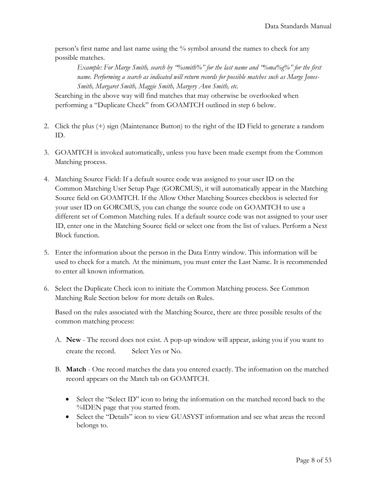person's first name and last name using the % symbol around the names to check for any possible matches.

*Example: For Marge Smith, search by "%smith%" for the last name and "%ma%g%" for the first name. Performing a search as indicated will return records for possible matches such as Marge Jones-Smith, Margaret Smith, Maggie Smith, Margery Ann Smith, etc.* 

Searching in the above way will find matches that may otherwise be overlooked when performing a "Duplicate Check" from GOAMTCH outlined in step 6 below.

- 2. Click the plus (+) sign (Maintenance Button) to the right of the ID Field to generate a random ID.
- 3. GOAMTCH is invoked automatically, unless you have been made exempt from the Common Matching process.
- 4. Matching Source Field: If a default source code was assigned to your user ID on the Common Matching User Setup Page (GORCMUS), it will automatically appear in the Matching Source field on GOAMTCH. If the Allow Other Matching Sources checkbox is selected for your user ID on GORCMUS, you can change the source code on GOAMTCH to use a different set of Common Matching rules. If a default source code was not assigned to your user ID, enter one in the Matching Source field or select one from the list of values. Perform a Next Block function.
- 5. Enter the information about the person in the Data Entry window. This information will be used to check for a match. At the minimum, you must enter the Last Name. It is recommended to enter all known information.
- 6. Select the Duplicate Check icon to initiate the Common Matching process. See Common Matching Rule Section below for more details on Rules.

Based on the rules associated with the Matching Source, there are three possible results of the common matching process:

- A. **New** The record does not exist. A pop-up window will appear, asking you if you want to create the record. Select Yes or No.
- B. **Match** One record matches the data you entered exactly. The information on the matched record appears on the Match tab on GOAMTCH.
	- Select the "Select ID" icon to bring the information on the matched record back to the %IDEN page that you started from.
	- Select the "Details" icon to view GUASYST information and see what areas the record belongs to.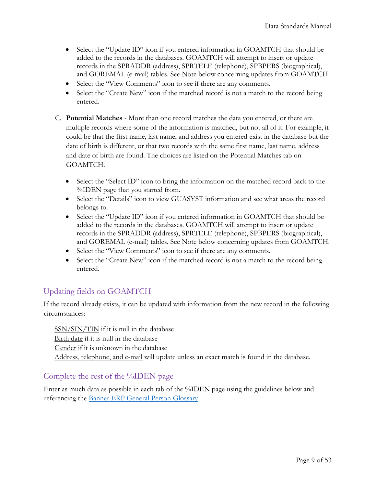- Select the "Update ID" icon if you entered information in GOAMTCH that should be added to the records in the databases. GOAMTCH will attempt to insert or update records in the SPRADDR (address), SPRTELE (telephone), SPBPERS (biographical), and GOREMAL (e-mail) tables. See Note below concerning updates from GOAMTCH.
- Select the "View Comments" icon to see if there are any comments.
- Select the "Create New" icon if the matched record is not a match to the record being entered.
- C. **Potential Matches** More than one record matches the data you entered, or there are multiple records where some of the information is matched, but not all of it. For example, it could be that the first name, last name, and address you entered exist in the database but the date of birth is different, or that two records with the same first name, last name, address and date of birth are found. The choices are listed on the Potential Matches tab on GOAMTCH.
	- Select the "Select ID" icon to bring the information on the matched record back to the %IDEN page that you started from.
	- Select the "Details" icon to view GUASYST information and see what areas the record belongs to.
	- Select the "Update ID" icon if you entered information in GOAMTCH that should be added to the records in the databases. GOAMTCH will attempt to insert or update records in the SPRADDR (address), SPRTELE (telephone), SPBPERS (biographical), and GOREMAL (e-mail) tables. See Note below concerning updates from GOAMTCH.
	- Select the "View Comments" icon to see if there are any comments.
	- Select the "Create New" icon if the matched record is not a match to the record being entered.

### <span id="page-8-0"></span>Updating fields on GOAMTCH

If the record already exists, it can be updated with information from the new record in the following circumstances:

SSN/SIN/TIN if it is null in the database Birth date if it is null in the database Gender if it is unknown in the database Address, telephone, and e-mail will update unless an exact match is found in the database.

### <span id="page-8-1"></span>Complete the rest of the %IDEN page

Enter as much data as possible in each tab of the %IDEN page using the guidelines below and referencing the Banner ERP [General Person Glossary](#page-39-1)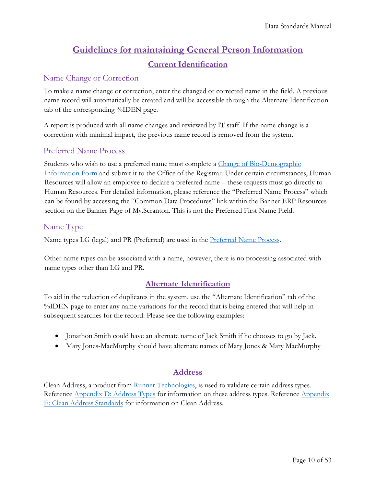### **Guidelines for maintaining General Person Information Current Identification**

### <span id="page-9-2"></span><span id="page-9-1"></span><span id="page-9-0"></span>Name Change or Correction

To make a name change or correction, enter the changed or corrected name in the field. A previous name record will automatically be created and will be accessible through the Alternate Identification tab of the corresponding %IDEN page.

A report is produced with all name changes and reviewed by IT staff. If the name change is a correction with minimal impact, the previous name record is removed from the system.

### <span id="page-9-3"></span>Preferred Name Process

Students who wish to use a preferred name must complete a [Change of Bio-Demographic](https://www.scranton.edu/academics/registrar/pdf/change_of_biodemographic_information_form.pdf)  [Information Form](https://www.scranton.edu/academics/registrar/pdf/change_of_biodemographic_information_form.pdf) and submit it to the Office of the Registrar. Under certain circumstances, Human Resources will allow an employee to declare a preferred name – these requests must go directly to Human Resources. For detailed information, please reference the "Preferred Name Process" which can be found by accessing the "Common Data Procedures" link within the Banner ERP Resources section on the Banner Page of My.Scranton. This is not the Preferred First Name Field.

### <span id="page-9-4"></span>Name Type

Name types LG (legal) and PR (Preferred) are used in the [Preferred Name Process.](#page-9-3)

Other name types can be associated with a name, however, there is no processing associated with name types other than LG and PR.

### **Alternate Identification**

<span id="page-9-5"></span>To aid in the reduction of duplicates in the system, use the "Alternate Identification" tab of the %IDEN page to enter any name variations for the record that is being entered that will help in subsequent searches for the record. Please see the following examples:

- Jonathon Smith could have an alternate name of Jack Smith if he chooses to go by Jack.
- Mary Jones-MacMurphy should have alternate names of Mary Jones & Mary MacMurphy

### **Address**

<span id="page-9-6"></span>Clean Address, a product from **Runner Technologies**, is used to validate certain address types. Reference [Appendix D: Address Types](#page-35-0) for information on these address types. Reference [Appendix](#page-37-0)  [E: Clean Address Standards](#page-37-0) for information on Clean Address.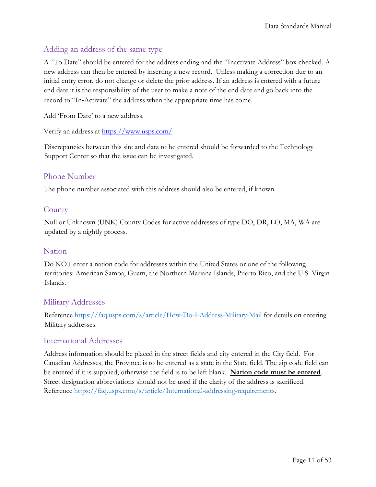### <span id="page-10-0"></span>Adding an address of the same type

A "To Date" should be entered for the address ending and the "Inactivate Address" box checked. A new address can then be entered by inserting a new record. Unless making a correction due to an initial entry error, do not change or delete the prior address. If an address is entered with a future end date it is the responsibility of the user to make a note of the end date and go back into the record to "In‐Activate" the address when the appropriate time has come.

Add 'From Date' to a new address.

Verify an address at https://www.usps.com/

Discrepancies between this site and data to be entered should be forwarded to the Technology Support Center so that the issue can be investigated.

### <span id="page-10-1"></span>Phone Number

The phone number associated with this address should also be entered, if known.

### <span id="page-10-2"></span>**County**

Null or Unknown (UNK) County Codes for active addresses of type DO, DR, LO, MA, WA are updated by a nightly process.

### <span id="page-10-3"></span>Nation

Do NOT enter a nation code for addresses within the United States or one of the following territories: American Samoa, Guam, the Northern Mariana Islands, Puerto Rico, and the U.S. Virgin Islands.

### <span id="page-10-4"></span>Military Addresses

Reference<https://faq.usps.com/s/article/How-Do-I-Address-Military-Mail> for details on entering Military addresses.

### <span id="page-10-5"></span>International Addresses

<span id="page-10-6"></span>Address information should be placed in the street fields and city entered in the City field. For Canadian Addresses, the Province is to be entered as a state in the State field. The zip code field can be entered if it is supplied; otherwise the field is to be left blank. **Nation code must be entered**. Street designation abbreviations should not be used if the clarity of the address is sacrificed. Reference [https://faq.usps.com/s/article/International-addressing-requirements.](https://faq.usps.com/s/article/International-addressing-requirements)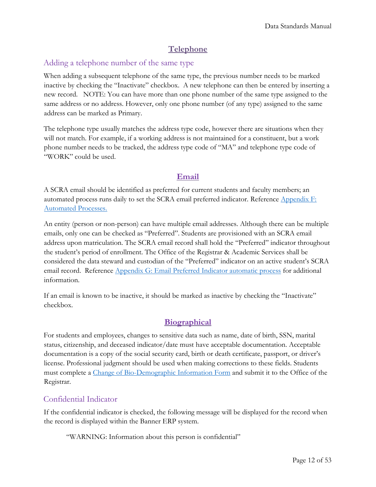### **Telephone**

### <span id="page-11-1"></span><span id="page-11-0"></span>Adding a telephone number of the same type

When adding a subsequent telephone of the same type, the previous number needs to be marked inactive by checking the "Inactivate" checkbox. A new telephone can then be entered by inserting a new record. NOTE: You can have more than one phone number of the same type assigned to the same address or no address. However, only one phone number (of any type) assigned to the same address can be marked as Primary.

The telephone type usually matches the address type code, however there are situations when they will not match. For example, if a working address is not maintained for a constituent, but a work phone number needs to be tracked, the address type code of "MA" and telephone type code of "WORK" could be used.

### **Email**

<span id="page-11-2"></span>A SCRA email should be identified as preferred for current students and faculty members; an automated process runs daily to set the SCRA email preferred indicator. Reference [Appendix F:](#page-38-0)  [Automated](#page-38-0) Processes.

An entity (person or non-person) can have multiple email addresses. Although there can be multiple emails, only one can be checked as "Preferred". Students are provisioned with an SCRA email address upon matriculation. The SCRA email record shall hold the "Preferred" indicator throughout the student's period of enrollment. The Office of the Registrar & Academic Services shall be considered the data steward and custodian of the "Preferred" indicator on an active student's SCRA email record. Reference [Appendix G: Email Preferred Indicator automatic process](#page-39-0) for additional information.

If an email is known to be inactive, it should be marked as inactive by checking the "Inactivate" checkbox.

### **Biographical**

<span id="page-11-3"></span>For students and employees, changes to sensitive data such as name, date of birth, SSN, marital status, citizenship, and deceased indicator/date must have acceptable documentation. Acceptable documentation is a copy of the social security card, birth or death certificate, passport, or driver's license. Professional judgment should be used when making corrections to these fields. Students must complete a [Change of Bio-Demographic Information Form](https://www.scranton.edu/academics/registrar/pdf/change_of_biodemographic_information_form.pdf) and submit it to the Office of the Registrar.

### <span id="page-11-4"></span>Confidential Indicator

If the confidential indicator is checked, the following message will be displayed for the record when the record is displayed within the Banner ERP system.

"WARNING: Information about this person is confidential"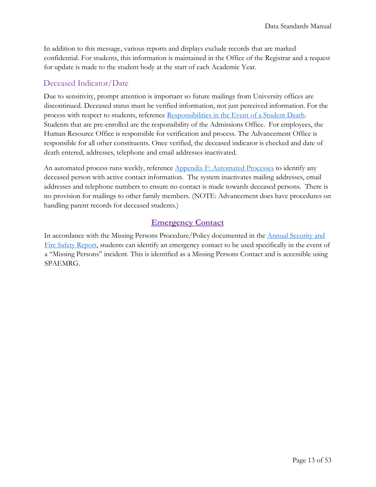In addition to this message, various reports and displays exclude records that are marked confidential. For students, this information is maintained in the Office of the Registrar and a request for update is made to the student body at the start of each Academic Year.

### <span id="page-12-0"></span>Deceased Indicator/Date

Due to sensitivity, prompt attention is important so future mailings from University offices are discontinued. Deceased status must be verified information, not just perceived information. For the process with respect to students, reference [Responsibilities in the Event of a Student Death.](#page-50-0) Students that are pre-enrolled are the responsibility of the Admissions Office. For employees, the Human Resource Office is responsible for verification and process. The Advancement Office is responsible for all other constituents. Once verified, the deceased indicator is checked and date of death entered, addresses, telephone and email addresses inactivated.

An automated process runs weekly, reference Appendix F: [Automated Processes](#page-38-0) to identify any deceased person with active contact information. The system inactivates mailing addresses, email addresses and telephone numbers to ensure no contact is made towards deceased persons. There is no provision for mailings to other family members. (NOTE: Advancement does have procedures on handling parent records for deceased students.)

### **Emergency Contact**

<span id="page-12-1"></span>In accordance with the Missing Persons Procedure/Policy documented in the [Annual Security and](https://www.scranton.edu/about/university-police/aboutus/Annual%20Security%20Report.shtml)  [Fire Safety Report,](https://www.scranton.edu/about/university-police/aboutus/Annual%20Security%20Report.shtml) students can identify an emergency contact to be used specifically in the event of a "Missing Persons" incident. This is identified as a Missing Persons Contact and is accessible using SPAEMRG.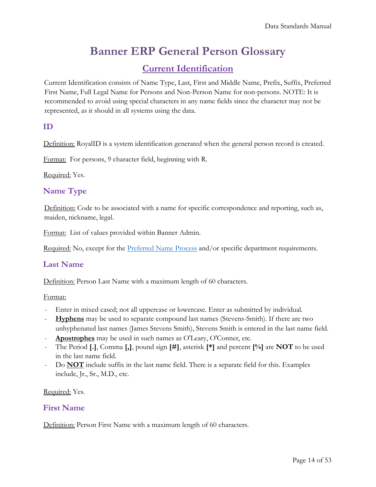# **Banner ERP General Person Glossary**

### **Current Identification**

<span id="page-13-1"></span><span id="page-13-0"></span>Current Identification consists of Name Type, Last, First and Middle Name, Prefix, Suffix, Preferred First Name, Full Legal Name for Persons and Non-Person Name for non-persons. NOTE: It is recommended to avoid using special characters in any name fields since the character may not be represented, as it should in all systems using the data.

### <span id="page-13-2"></span>**ID**

Definition: RoyalID is a system identification generated when the general person record is created.

Format: For persons, 9 character field, beginning with R.

Required: Yes.

### <span id="page-13-3"></span>**Name Type**

Definition: Code to be associated with a name for specific correspondence and reporting, such as, maiden, nickname, legal.

Format: List of values provided within Banner Admin.

Required: No, except for the [Preferred Name Process](#page-9-3) and/or specific department requirements.

### <span id="page-13-4"></span>**Last Name**

Definition: Person Last Name with a maximum length of 60 characters.

Format:

- Enter in mixed cased; not all uppercase or lowercase. Enter as submitted by individual.
- **Hyphens** may be used to separate compound last names (Stevens-Smith). If there are two unhyphenated last names (James Stevens Smith), Stevens Smith is entered in the last name field.
- **Apostrophes** may be used in such names as O'Leary, O'Conner, etc.
- The Period **[.]**, Comma **[,]**, pound sign **[#]**, asterisk **[\*]** and percent **[%]** are **NOT** to be used in the last name field.
- Do **NOT** include suffix in the last name field. There is a separate field for this. Examples include, Jr., Sr., M.D., etc.

Required: Yes.

### <span id="page-13-5"></span>**First Name**

Definition: Person First Name with a maximum length of 60 characters.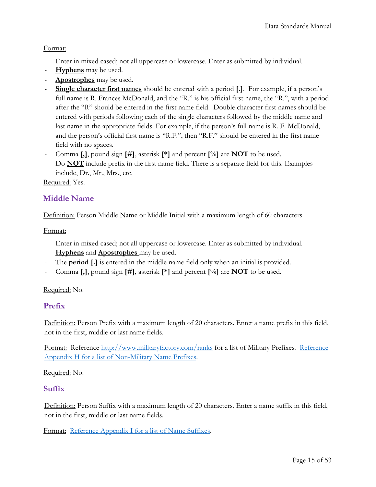### Format:

- Enter in mixed cased; not all uppercase or lowercase. Enter as submitted by individual.
- **Hyphens** may be used.
- **Apostrophes** may be used.
- **Single character first names** should be entered with a period **[.]**. For example, if a person's full name is R. Frances McDonald, and the "R." is his official first name, the "R.", with a period after the "R" should be entered in the first name field. Double character first names should be entered with periods following each of the single characters followed by the middle name and last name in the appropriate fields. For example, if the person's full name is R. F. McDonald, and the person's official first name is "R.F.", then "R.F." should be entered in the first name field with no spaces.
- Comma **[,]**, pound sign **[#]**, asterisk **[\*]** and percent **[%]** are **NOT** to be used.
- Do **NOT** include prefix in the first name field. There is a separate field for this. Examples include, Dr., Mr., Mrs., etc.

Required: Yes.

### <span id="page-14-0"></span>**Middle Name**

Definition: Person Middle Name or Middle Initial with a maximum length of 60 characters

#### Format:

- Enter in mixed cased; not all uppercase or lowercase. Enter as submitted by individual.
- **Hyphens** and **Apostrophes** may be used.
- The **period** [.] is entered in the middle name field only when an initial is provided.
- Comma **[,]**, pound sign **[#]**, asterisk **[\*]** and percent **[%]** are **NOT** to be used.

### Required: No.

### <span id="page-14-1"></span>**Prefix**

Definition: Person Prefix with a maximum length of 20 characters. Enter a name prefix in this field, not in the first, middle or last name fields.

Format: Reference<http://www.militaryfactory.com/ranks> for a list of Military Prefixes. [Reference](#page-40-0)  Appendix H [for a list of Non-Military Name Prefixes.](#page-40-0)

Required: No.

### <span id="page-14-2"></span>**Suffix**

Definition: Person Suffix with a maximum length of 20 characters. Enter a name suffix in this field, not in the first, middle or last name fields.

Format: Reference Appendix I [for a list of Name Suffixes.](#page-42-0)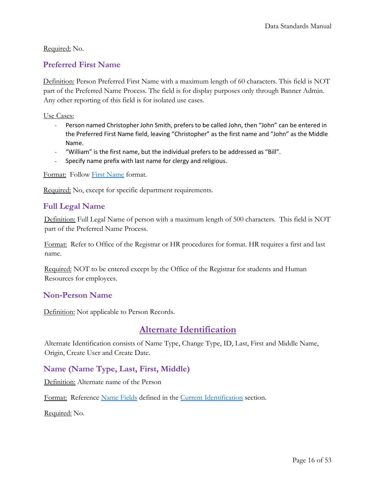### Required: No.

### <span id="page-15-0"></span>**Preferred First Name**

Definition: Person Preferred First Name with a maximum length of 60 characters. This field is NOT part of the Preferred Name Process. The field is for display purposes only through Banner Admin. Any other reporting of this field is for isolated use cases.

Use Cases:

- Person named Christopher John Smith, prefers to be called John, then "John" can be entered in the Preferred First Name field, leaving "Christopher" as the first name and "John" as the Middle Name.
- "William" is the first name, but the individual prefers to be addressed as "Bill".
- Specify name prefix with last name for clergy and religious.

Format: Follow First Name format.

Required: No, except for specific department requirements.

### <span id="page-15-1"></span>**Full Legal Name**

Definition: Full Legal Name of person with a maximum length of 500 characters. This field is NOT part of the Preferred Name Process.

Format: Refer to Office of the Registrar or HR procedures for format. HR requires a first and last name.

Required: NOT to be entered except by the Office of the Registrar for students and Human Resources for employees.

### <span id="page-15-2"></span>**Non**‐**Person Name**

Definition: Not applicable to Person Records.

### **Alternate Identification**

<span id="page-15-3"></span>Alternate Identification consists of Name Type, Change Type, ID, Last, First and Middle Name, Origin, Create User and Create Date.

### <span id="page-15-4"></span>**Name (Name Type, Last, First, Middle)**

Definition: Alternate name of the Person

Format: Reference Name Fields defined in the [Current Identification](#page-6-2) section.

Required: No.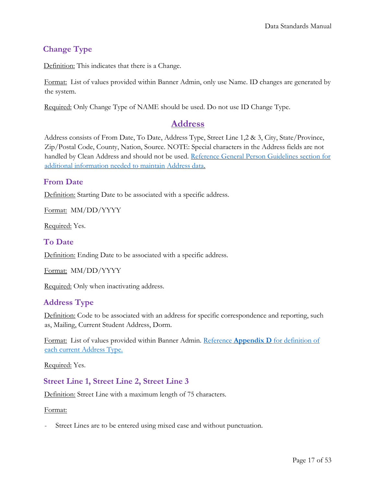### <span id="page-16-0"></span>**Change Type**

Definition: This indicates that there is a Change.

Format: List of values provided within Banner Admin, only use Name. ID changes are generated by the system.

<span id="page-16-1"></span>Required: Only Change Type of NAME should be used. Do not use ID Change Type.

### **Address**

Address consists of From Date, To Date, Address Type, Street Line 1,2 & 3, City, State/Province, Zip/Postal Code, County, Nation, Source. NOTE: Special characters in the Address fields are not handled by Clean Address and should not be used. [Reference General Person Guidelines](#page-9-6) section for [additional information needed to maintain](#page-9-6) Address data.

### <span id="page-16-2"></span>**From Date**

Definition: Starting Date to be associated with a specific address.

Format: MM/DD/YYYY

Required: Yes.

### <span id="page-16-3"></span>**To Date**

Definition: Ending Date to be associated with a specific address.

Format: MM/DD/YYYY

Required: Only when inactivating address.

### <span id="page-16-4"></span>**Address Type**

Definition: Code to be associated with an address for specific correspondence and reporting, such as, Mailing, Current Student Address, Dorm.

Format: List of values provided within Banner Admin. Reference **Appendix D** [for definition of](#page-35-0) [each current Address Type.](#page-35-0)

Required: Yes.

### <span id="page-16-5"></span>**Street Line 1, Street Line 2, Street Line 3**

Definition: Street Line with a maximum length of 75 characters.

#### Format:

Street Lines are to be entered using mixed case and without punctuation.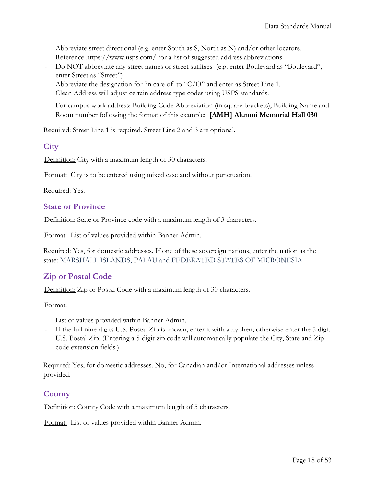- Abbreviate street directional (e.g. enter South as S, North as N) and/or other locators. Reference https://www.usps.com/ for a list of suggested address abbreviations.
- Do NOT abbreviate any street names or street suffixes (e.g. enter Boulevard as "Boulevard", enter Street as "Street")
- Abbreviate the designation for 'in care of' to " $C/O$ " and enter as Street Line 1.
- Clean Address will adjust certain address type codes using USPS standards.
- For campus work address: Building Code Abbreviation (in square brackets), Building Name and Room number following the format of this example: **[AMH] Alumni Memorial Hall 030**

Required: Street Line 1 is required. Street Line 2 and 3 are optional.

### <span id="page-17-0"></span>**City**

Definition: City with a maximum length of 30 characters.

Format: City is to be entered using mixed case and without punctuation.

Required: Yes.

### <span id="page-17-1"></span>**State or Province**

Definition: State or Province code with a maximum length of 3 characters.

Format: List of values provided within Banner Admin.

Required: Yes, for domestic addresses. If one of these sovereign nations, enter the nation as the state: MARSHALL ISLANDS, PALAU and FEDERATED STATES OF MICRONESIA

### <span id="page-17-2"></span>**Zip or Postal Code**

Definition: Zip or Postal Code with a maximum length of 30 characters.

#### Format:

- List of values provided within Banner Admin.
- If the full nine digits U.S. Postal Zip is known, enter it with a hyphen; otherwise enter the 5 digit U.S. Postal Zip. (Entering a 5-digit zip code will automatically populate the City, State and Zip code extension fields.)

Required: Yes, for domestic addresses. No, for Canadian and/or International addresses unless provided.

### <span id="page-17-3"></span>**County**

Definition: County Code with a maximum length of 5 characters.

Format: List of values provided within Banner Admin.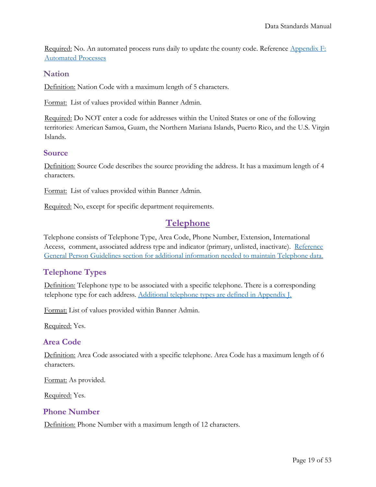Required: No. An automated process runs daily to update the county code. Reference [Appendix F:](#page-38-0) [Automated Processes](#page-38-0)

### <span id="page-18-0"></span>**Nation**

Definition: Nation Code with a maximum length of 5 characters.

Format: List of values provided within Banner Admin.

Required: Do NOT enter a code for addresses within the United States or one of the following territories: American Samoa, Guam, the Northern Mariana Islands, Puerto Rico, and the U.S. Virgin Islands.

#### <span id="page-18-1"></span>**Source**

Definition: Source Code describes the source providing the address. It has a maximum length of 4 characters.

Format: List of values provided within Banner Admin.

<span id="page-18-2"></span>Required: No, except for specific department requirements.

### **Telephone**

Telephone consists of Telephone Type, Area Code, Phone Number, Extension, International Access, comment, associated address type and indicator (primary, unlisted, inactivate). [Reference](#page-10-6)  General Person Guidelines [section for additional information needed to maintain](#page-10-6) Telephone data.

### <span id="page-18-3"></span>**Telephone Types**

Definition: Telephone type to be associated with a specific telephone. There is a corresponding telephone type for each address. Additional telephone [types are defined in Appendix J.](#page-44-0)

Format: List of values provided within Banner Admin.

Required: Yes.

### <span id="page-18-4"></span>**Area Code**

Definition: Area Code associated with a specific telephone. Area Code has a maximum length of 6 characters.

Format: As provided.

Required: Yes.

### <span id="page-18-5"></span>**Phone Number**

Definition: Phone Number with a maximum length of 12 characters.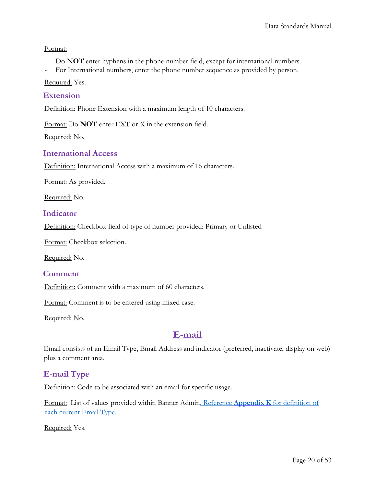#### Format:

- Do **NOT** enter hyphens in the phone number field, except for international numbers.
- For International numbers, enter the phone number sequence as provided by person.

Required: Yes.

### <span id="page-19-0"></span>**Extension**

Definition: Phone Extension with a maximum length of 10 characters.

Format: Do **NOT** enter EXT or X in the extension field.

Required: No.

### <span id="page-19-1"></span>**International Access**

Definition: International Access with a maximum of 16 characters.

Format: As provided.

Required: No.

### <span id="page-19-2"></span>**Indicator**

Definition: Checkbox field of type of number provided: Primary or Unlisted

Format: Checkbox selection.

Required: No.

#### <span id="page-19-3"></span>**Comment**

Definition: Comment with a maximum of 60 characters.

Format: Comment is to be entered using mixed case.

<span id="page-19-4"></span>Required: No.

### **E-mail**

Email consists of an Email Type, Email Address and indicator (preferred, inactivate, display on web) plus a comment area.

### <span id="page-19-5"></span>**E-mail Type**

Definition: Code to be associated with an email for specific usage.

Format: List of values provided within Banner Admin. Reference **Appendix K** [for definition of](#page-44-1)  [each current Email Type.](#page-44-1)

Required: Yes.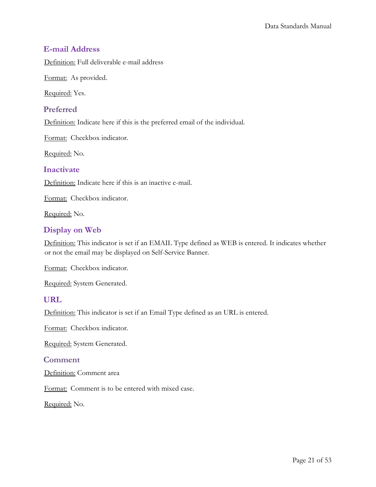### <span id="page-20-0"></span>**E-mail Address**

Definition: Full deliverable e-mail address

Format: As provided.

Required: Yes.

### <span id="page-20-1"></span>**Preferred**

Definition: Indicate here if this is the preferred email of the individual.

Format: Checkbox indicator.

Required: No.

### <span id="page-20-2"></span>**Inactivate**

Definition: Indicate here if this is an inactive e-mail.

Format: Checkbox indicator.

Required: No.

### <span id="page-20-3"></span>**Display on Web**

Definition: This indicator is set if an EMAIL Type defined as WEB is entered. It indicates whether or not the email may be displayed on Self-Service Banner.

Format: Checkbox indicator.

Required: System Generated.

### <span id="page-20-4"></span>**URL**

Definition: This indicator is set if an Email Type defined as an URL is entered.

Format: Checkbox indicator.

Required: System Generated.

### <span id="page-20-5"></span>**Comment**

Definition: Comment area

Format: Comment is to be entered with mixed case.

Required: No.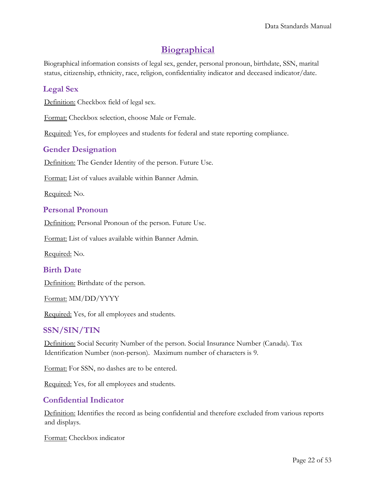### **Biographical**

<span id="page-21-0"></span>Biographical information consists of legal sex, gender, personal pronoun, birthdate, SSN, marital status, citizenship, ethnicity, race, religion, confidentiality indicator and deceased indicator/date.

### <span id="page-21-1"></span>**Legal Sex**

Definition: Checkbox field of legal sex.

Format: Checkbox selection, choose Male or Female.

Required: Yes, for employees and students for federal and state reporting compliance.

### <span id="page-21-2"></span>**Gender Designation**

Definition: The Gender Identity of the person. Future Use.

Format: List of values available within Banner Admin.

Required: No.

### <span id="page-21-3"></span>**Personal Pronoun**

Definition: Personal Pronoun of the person. Future Use.

Format: List of values available within Banner Admin.

Required: No.

### <span id="page-21-4"></span>**Birth Date**

Definition: Birthdate of the person.

Format: MM/DD/YYYY

Required: Yes, for all employees and students.

### <span id="page-21-5"></span>**SSN/SIN/TIN**

Definition: Social Security Number of the person. Social Insurance Number (Canada). Tax Identification Number (non-person). Maximum number of characters is 9.

Format: For SSN, no dashes are to be entered.

Required: Yes, for all employees and students.

### <span id="page-21-6"></span>**Confidential Indicator**

Definition: Identifies the record as being confidential and therefore excluded from various reports and displays.

Format: Checkbox indicator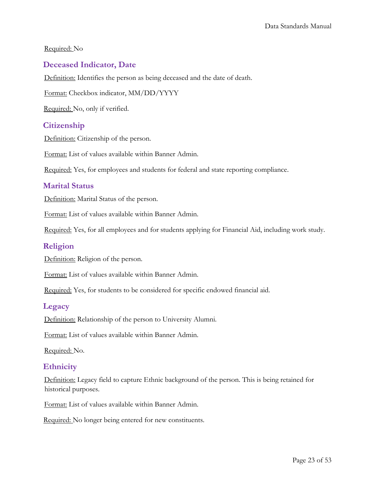#### Required: No

### <span id="page-22-0"></span>**Deceased Indicator, Date**

Definition: Identifies the person as being deceased and the date of death.

Format: Checkbox indicator, MM/DD/YYYY

Required: No, only if verified.

### <span id="page-22-1"></span>**Citizenship**

Definition: Citizenship of the person.

Format: List of values available within Banner Admin.

Required: Yes, for employees and students for federal and state reporting compliance.

### <span id="page-22-2"></span>**Marital Status**

Definition: Marital Status of the person.

Format: List of values available within Banner Admin.

Required: Yes, for all employees and for students applying for Financial Aid, including work study.

### <span id="page-22-3"></span>**Religion**

Definition: Religion of the person.

Format: List of values available within Banner Admin.

Required: Yes, for students to be considered for specific endowed financial aid.

#### <span id="page-22-4"></span>**Legacy**

Definition: Relationship of the person to University Alumni.

Format: List of values available within Banner Admin.

Required: No.

### <span id="page-22-5"></span>**Ethnicity**

Definition: Legacy field to capture Ethnic background of the person. This is being retained for historical purposes.

Format: List of values available within Banner Admin.

Required: No longer being entered for new constituents.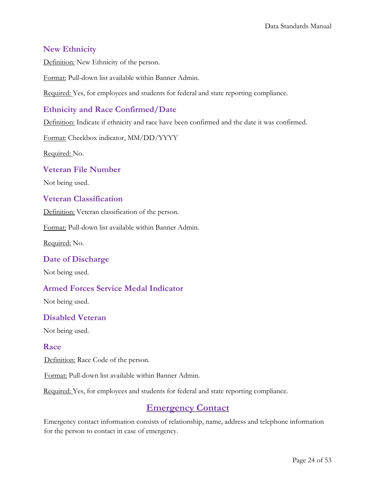### <span id="page-23-0"></span>**New Ethnicity**

Definition: New Ethnicity of the person.

Format: Pull-down list available within Banner Admin.

Required: Yes, for employees and students for federal and state reporting compliance.

### <span id="page-23-1"></span>**Ethnicity and Race Confirmed/Date**

Definition: Indicate if ethnicity and race have been confirmed and the date it was confirmed.

Format: Checkbox indicator, MM/DD/YYYY

Required: No.

<span id="page-23-2"></span>**Veteran File Number** 

Not being used.

### <span id="page-23-3"></span>**Veteran Classification**

Definition: Veteran classification of the person.

Format: Pull-down list available within Banner Admin.

Required: No.

### <span id="page-23-4"></span>**Date of Discharge**

Not being used.

### <span id="page-23-5"></span>**Armed Forces Service Medal Indicator**

Not being used.

### <span id="page-23-6"></span>**Disabled Veteran**

Not being used.

### <span id="page-23-7"></span>**Race**

Definition: Race Code of the person.

Format: Pull-down list available within Banner Admin.

<span id="page-23-8"></span>Required: Yes, for employees and students for federal and state reporting compliance.

### **Emergency Contact**

Emergency contact information consists of relationship, name, address and telephone information for the person to contact in case of emergency.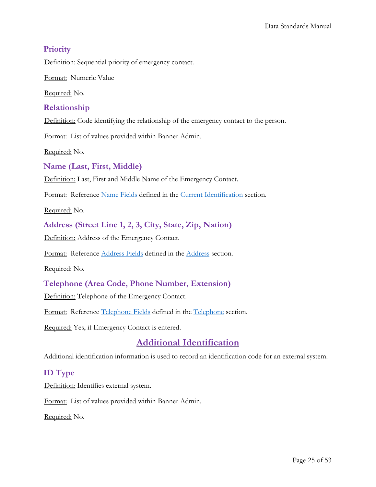### <span id="page-24-0"></span>**Priority**

Definition: Sequential priority of emergency contact.

Format: Numeric Value

Required: No.

### <span id="page-24-1"></span>**Relationship**

Definition: Code identifying the relationship of the emergency contact to the person.

Format: List of values provided within Banner Admin.

Required: No.

### <span id="page-24-2"></span>**Name (Last, First, Middle)**

Definition: Last, First and Middle Name of the Emergency Contact.

Format: Reference Name Fields defined in the [Current Identification](#page-6-2) section.

Required: No.

### <span id="page-24-3"></span>**Address (Street Line 1, 2, 3, City, State, Zip, Nation)**

Definition: Address of the Emergency Contact.

Format: Reference Address Fields defined in the [Address](#page-9-6) section.

Required: No.

### <span id="page-24-4"></span>**Telephone (Area Code, Phone Number, Extension)**

Definition: Telephone of the Emergency Contact.

Format: Reference [Telephone](#page-10-6) Fields defined in the Telephone section.

<span id="page-24-5"></span>Required: Yes, if Emergency Contact is entered.

### **Additional Identification**

Additional identification information is used to record an identification code for an external system.

### <span id="page-24-6"></span>**ID Type**

Definition: Identifies external system.

Format: List of values provided within Banner Admin.

Required: No.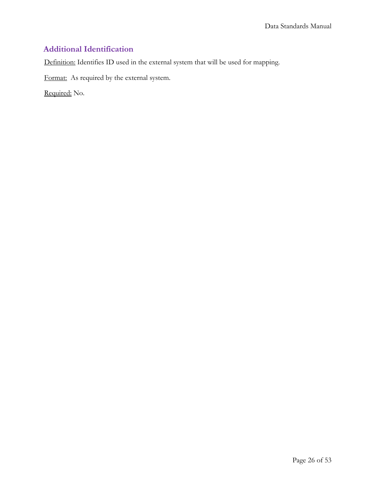### <span id="page-25-0"></span>**Additional Identification**

Definition: Identifies ID used in the external system that will be used for mapping.

Format: As required by the external system.

Required: No.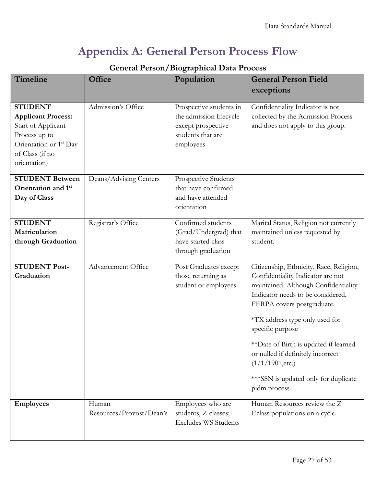# <span id="page-26-0"></span>**Appendix A: General Person Process Flow**

| Timeline                                                                                                                                                    | Office                            | Population                                                                                                 | <b>General Person Field</b><br>exceptions                                                                                                                                                                                                                                                                                                                                                                  |
|-------------------------------------------------------------------------------------------------------------------------------------------------------------|-----------------------------------|------------------------------------------------------------------------------------------------------------|------------------------------------------------------------------------------------------------------------------------------------------------------------------------------------------------------------------------------------------------------------------------------------------------------------------------------------------------------------------------------------------------------------|
| <b>STUDENT</b><br><b>Applicant Process:</b><br>Start of Applicant<br>Process up to<br>Orientation or 1 <sup>st</sup> Day<br>of Class (if no<br>orientation) | Admission's Office                | Prospective students in<br>the admission lifecycle<br>except prospective<br>students that are<br>employees | Confidentiality Indicator is not<br>collected by the Admission Process<br>and does not apply to this group.                                                                                                                                                                                                                                                                                                |
| <b>STUDENT Between</b><br>Orientation and 1st<br>Day of Class                                                                                               | Deans/Advising Centers            | Prospective Students<br>that have confirmed<br>and have attended<br>orientation                            |                                                                                                                                                                                                                                                                                                                                                                                                            |
| <b>STUDENT</b><br>Matriculation<br>through Graduation                                                                                                       | Registrar's Office                | Confirmed students<br>(Grad/Undergrad) that<br>have started class<br>through graduation                    | Marital Status, Religion not currently<br>maintained unless requested by<br>student.                                                                                                                                                                                                                                                                                                                       |
| <b>STUDENT Post-</b><br>Graduation                                                                                                                          | Advancement Office                | Post Graduates except<br>those returning as<br>student or employees                                        | Citizenship, Ethnicity, Race, Religion,<br>Confidentiality Indicator are not<br>maintained. Although Confidentiality<br>Indicator needs to be considered,<br>FERPA covers postgraduate.<br>*TX address type only used for<br>specific purpose<br>**Date of Birth is updated if learned<br>or nulled if definitely incorrect<br>$(1/1/1901,$ etc.)<br>*** SSN is updated only for duplicate<br>pidm process |
| <b>Employees</b>                                                                                                                                            | Human<br>Resources/Provost/Dean's | Employees who are<br>students, Z classes;<br><b>Excludes WS Students</b>                                   | Human Resources review the Z<br>Eclass populations on a cycle.                                                                                                                                                                                                                                                                                                                                             |

### **General Person/Biographical Data Process**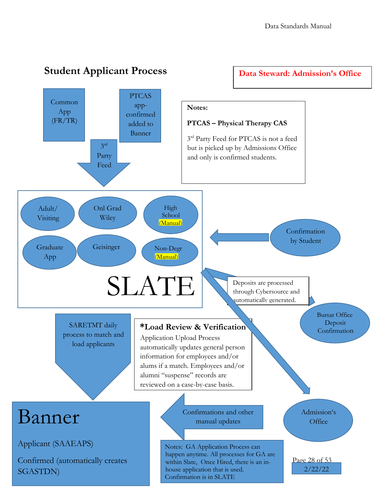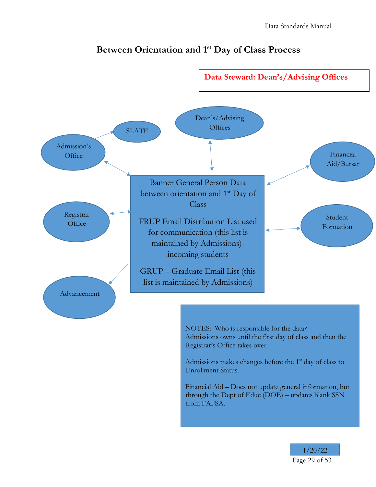

### **Between Orientation and 1st Day of Class Process**

NOTES: Who is responsible for the data? Admissions owns until the first day of class and then the Registrar's Office takes over.

Admissions makes changes before the 1<sup>st</sup> day of class to Enrollment Status.

Financial Aid – Does not update general information, but through the Dept of Educ (DOE) – updates blank SSN from FAFSA.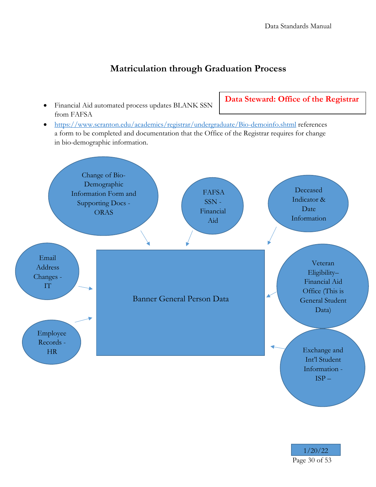### **Matriculation through Graduation Process**

• Financial Aid automated process updates BLANK SSN from FAFSA

**Data Steward: Office of the Registrar**

• <https://www.scranton.edu/academics/registrar/undergraduate/Bio-demoinfo.shtml> references a form to be completed and documentation that the Office of the Registrar requires for change in bio-demographic information.

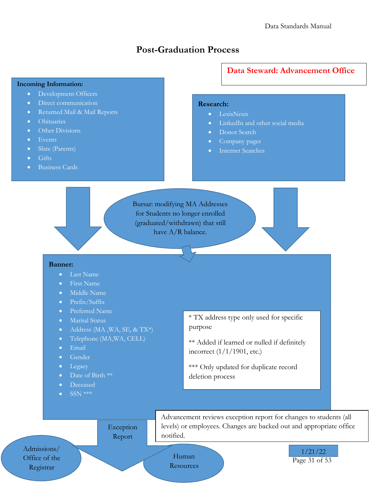### **Post-Graduation Process**

#### **Incoming Information:**

- Development Officers
- Direct communication
- Returned Mail & Mail Reports
- Obituaries
- Other Divisions
- Events
- Slate (Parents)
- Gifts
- Business Cards

### **Data Steward: Advancement Office**

#### **Research:**

- LexisNexis
- LinkedIn and other social media
- Donor Search
- Company pages
- Internet Searches

Bursar: modifying MA Addresses for Students no longer enrolled (graduated/withdrawn) that still have A/R balance.

#### **Banner:**

- Last Name
- First Name
- Middle Name
- Prefix/Suffix
- Preferred Name
- Marital Status
- Address (MA, WA, SE, & TX\*)
- Telephone (MA, WA, CELL)
- Email
- Gender
- Legacy
- Date of Birth \*\*
- Deceased
- SSN \*\*\*

\* TX address type only used for specific purpose

- \*\* Added if learned or nulled if definitely incorrect (1/1/1901, etc.)
- \*\*\* Only updated for duplicate record deletion process

Exception Report

Advancement reviews exception report for changes to students (all levels) or employees. Changes are backed out and appropriate office notified.

Admissions/ Office of the Registrar

Human Resources Page 31 of 53 1/21/22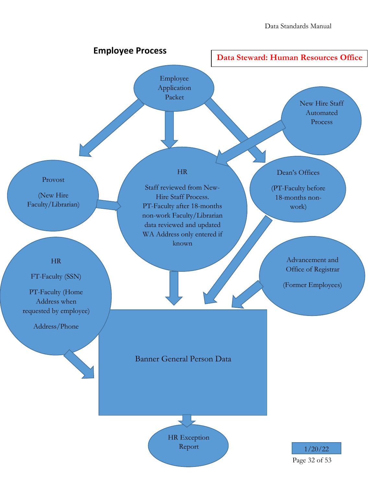

Page 32 of 53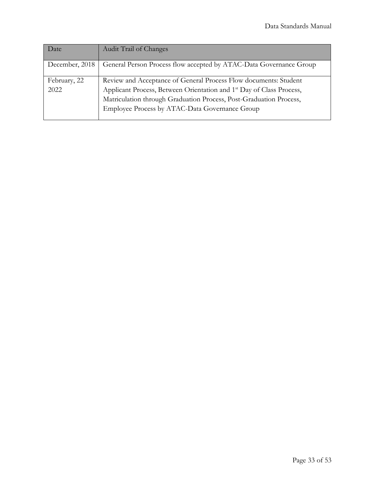| Date                 | <b>Audit Trail of Changes</b>                                                                                                                                                                                                                                                |
|----------------------|------------------------------------------------------------------------------------------------------------------------------------------------------------------------------------------------------------------------------------------------------------------------------|
| December, 2018       | General Person Process flow accepted by ATAC-Data Governance Group                                                                                                                                                                                                           |
| February, 22<br>2022 | Review and Acceptance of General Process Flow documents: Student<br>Applicant Process, Between Orientation and 1 <sup>st</sup> Day of Class Process,<br>Matriculation through Graduation Process, Post-Graduation Process,<br>Employee Process by ATAC-Data Governance Group |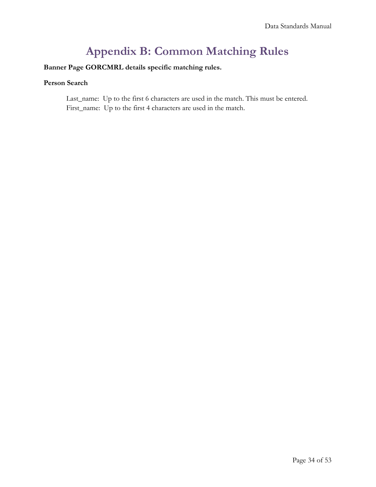# **Appendix B: Common Matching Rules**

### <span id="page-33-0"></span>**Banner Page GORCMRL details specific matching rules.**

#### **Person Search**

Last\_name: Up to the first 6 characters are used in the match. This must be entered. First\_name: Up to the first 4 characters are used in the match.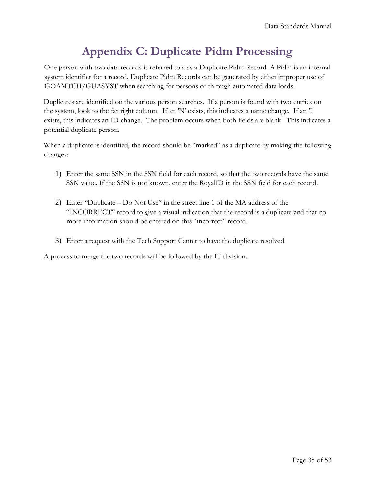# **Appendix C: Duplicate Pidm Processing**

<span id="page-34-0"></span>One person with two data records is referred to a as a Duplicate Pidm Record. A Pidm is an internal system identifier for a record. Duplicate Pidm Records can be generated by either improper use of GOAMTCH/GUASYST when searching for persons or through automated data loads.

Duplicates are identified on the various person searches. If a person is found with two entries on the system, look to the far right column. If an 'N' exists, this indicates a name change. If an 'I' exists, this indicates an ID change. The problem occurs when both fields are blank. This indicates a potential duplicate person.

When a duplicate is identified, the record should be "marked" as a duplicate by making the following changes:

- 1) Enter the same SSN in the SSN field for each record, so that the two records have the same SSN value. If the SSN is not known, enter the RoyalID in the SSN field for each record.
- 2) Enter "Duplicate Do Not Use" in the street line 1 of the MA address of the "INCORRECT" record to give a visual indication that the record is a duplicate and that no more information should be entered on this "incorrect" record.
- 3) Enter a request with the Tech Support Center to have the duplicate resolved.

A process to merge the two records will be followed by the IT division.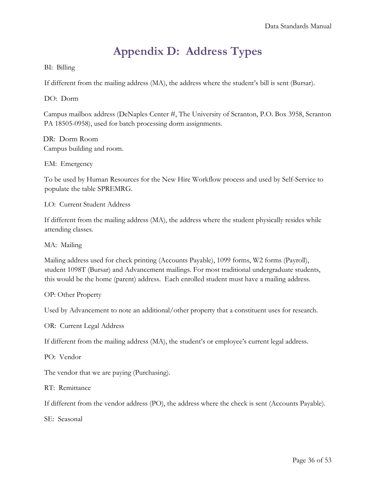# **Appendix D: Address Types**

### <span id="page-35-0"></span>BI: Billing

If different from the mailing address (MA), the address where the student's bill is sent (Bursar).

DO: Dorm

Campus mailbox address (DeNaples Center #, The University of Scranton, P.O. Box 3958, Scranton PA 18505-0958), used for batch processing dorm assignments.

DR: Dorm Room Campus building and room.

EM: Emergency

To be used by Human Resources for the New Hire Workflow process and used by Self-Service to populate the table SPREMRG.

LO: Current Student Address

If different from the mailing address (MA), the address where the student physically resides while attending classes.

MA: Mailing

Mailing address used for check printing (Accounts Payable), 1099 forms, W2 forms (Payroll), student 1098T (Bursar) and Advancement mailings. For most traditional undergraduate students, this would be the home (parent) address. Each enrolled student must have a mailing address.

OP: Other Property

Used by Advancement to note an additional/other property that a constituent uses for research.

OR: Current Legal Address

If different from the mailing address (MA), the student's or employee's current legal address.

PO: Vendor

The vendor that we are paying (Purchasing).

RT: Remittance

If different from the vendor address (PO), the address where the check is sent (Accounts Payable).

SE: Seasonal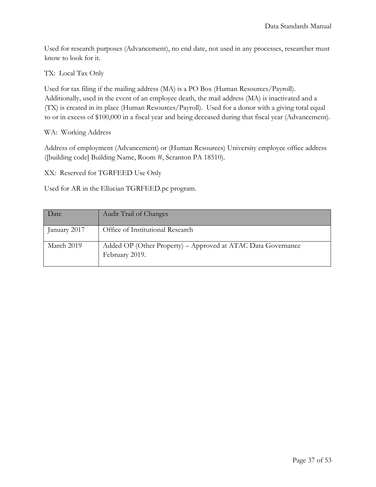Used for research purposes (Advancement), no end date, not used in any processes, researcher must know to look for it.

TX: Local Tax Only

Used for tax filing if the mailing address (MA) is a PO Box (Human Resources/Payroll). Additionally, used in the event of an employee death, the mail address (MA) is inactivated and a (TX) is created in its place (Human Resources/Payroll). Used for a donor with a giving total equal to or in excess of \$100,000 in a fiscal year and being deceased during that fiscal year (Advancement).

### WA: Working Address

Address of employment (Advancement) or (Human Resources) University employee office address ([building code] Building Name, Room #, Scranton PA 18510).

XX: Reserved for TGRFEED Use Only

Used for AR in the Ellucian TGRFEED.pc program.

| Date         | <b>Audit Trail of Changes</b>                                                  |
|--------------|--------------------------------------------------------------------------------|
| January 2017 | Office of Institutional Research                                               |
| March 2019   | Added OP (Other Property) - Approved at ATAC Data Governance<br>February 2019. |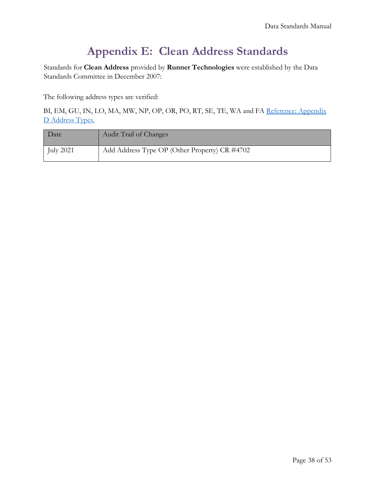# **Appendix E: Clean Address Standards**

<span id="page-37-0"></span>Standards for **Clean Address** provided by **Runner Technologies** were established by the Data Standards Committee in December 2007:

The following address types are verified:

BI, EM, GU, IN, LO, MA, MW, NP, OP, OR, PO, RT, SE, TE, WA and FA [Reference: Appendix](#page-35-0)  [D Address Types.](#page-35-0)

| Date             | Audit Trail of Changes                        |
|------------------|-----------------------------------------------|
| <b>July 2021</b> | Add Address Type OP (Other Property) CR #4702 |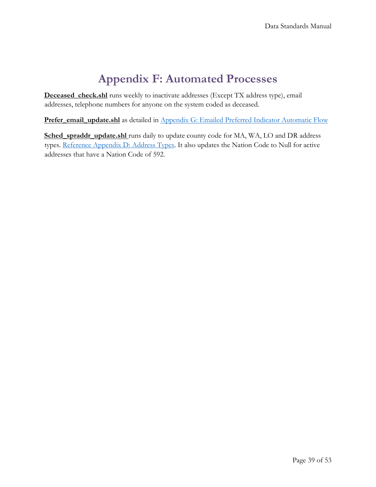# **Appendix F: Automated Processes**

<span id="page-38-0"></span>**Deceased\_check.shl** runs weekly to inactivate addresses (Except TX address type), email addresses, telephone numbers for anyone on the system coded as deceased.

Prefer\_email\_update.shl as detailed in [Appendix G: Emailed Preferred Indicator Automatic Flow](#page-39-0)

Sched spraddr update.shl runs daily to update county code for MA, WA, LO and DR address types. [Reference Appendix D: Address Types.](#page-35-0) It also updates the Nation Code to Null for active addresses that have a Nation Code of 592.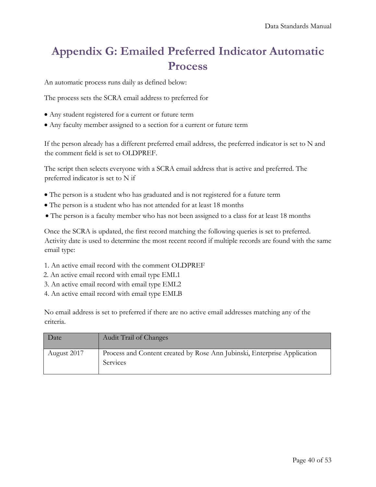# <span id="page-39-0"></span>**Appendix G: Emailed Preferred Indicator Automatic Process**

An automatic process runs daily as defined below:

The process sets the SCRA email address to preferred for

- Any student registered for a current or future term
- Any faculty member assigned to a section for a current or future term

If the person already has a different preferred email address, the preferred indicator is set to N and the comment field is set to OLDPREF.

The script then selects everyone with a SCRA email address that is active and preferred. The preferred indicator is set to N if

- The person is a student who has graduated and is not registered for a future term
- The person is a student who has not attended for at least 18 months
- The person is a faculty member who has not been assigned to a class for at least 18 months

Once the SCRA is updated, the first record matching the following queries is set to preferred. Activity date is used to determine the most recent record if multiple records are found with the same email type:

- 1. An active email record with the comment OLDPREF
- 2. An active email record with email type EML1
- 3. An active email record with email type EML2
- 4. An active email record with email type EMLB

No email address is set to preferred if there are no active email addresses matching any of the criteria.

<span id="page-39-1"></span>

| Date        | Audit Trail of Changes                                                               |
|-------------|--------------------------------------------------------------------------------------|
| August 2017 | Process and Content created by Rose Ann Jubinski, Enterprise Application<br>Services |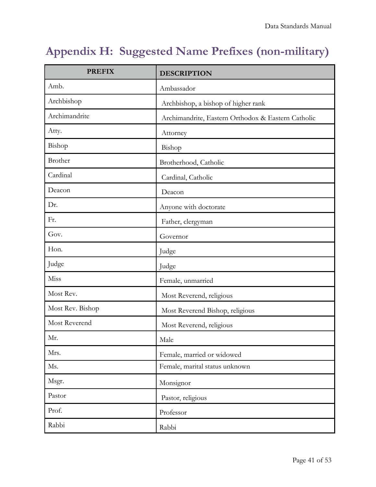# <span id="page-40-0"></span>**Appendix H: Suggested Name Prefixes (non-military)**

| <b>PREFIX</b>    | <b>DESCRIPTION</b>                                 |  |
|------------------|----------------------------------------------------|--|
| Amb.             | Ambassador                                         |  |
| Archbishop       | Archbishop, a bishop of higher rank                |  |
| Archimandrite    | Archimandrite, Eastern Orthodox & Eastern Catholic |  |
| Atty.            | Attorney                                           |  |
| Bishop           | Bishop                                             |  |
| Brother          | Brotherhood, Catholic                              |  |
| Cardinal         | Cardinal, Catholic                                 |  |
| Deacon           | Deacon                                             |  |
| Dr.              | Anyone with doctorate                              |  |
| Fr.              | Father, clergyman                                  |  |
| Gov.             | Governor                                           |  |
| Hon.             | Judge                                              |  |
| Judge            | Judge                                              |  |
| Miss             | Female, unmarried                                  |  |
| Most Rev.        | Most Reverend, religious                           |  |
| Most Rev. Bishop | Most Reverend Bishop, religious                    |  |
| Most Reverend    | Most Reverend, religious                           |  |
| Mr.              | Male                                               |  |
| Mrs.             | Female, married or widowed                         |  |
| Ms.              | Female, marital status unknown                     |  |
| Msgr.            | Monsignor                                          |  |
| Pastor           | Pastor, religious                                  |  |
| Prof.            | Professor                                          |  |
| Rabbi            | Rabbi                                              |  |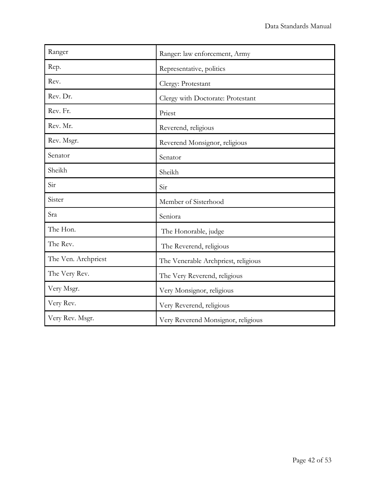| Ranger              | Ranger: law enforcement, Army       |  |
|---------------------|-------------------------------------|--|
| Rep.                | Representative, politics            |  |
| Rev.                | Clergy: Protestant                  |  |
| Rev. Dr.            | Clergy with Doctorate: Protestant   |  |
| Rev. Fr.            | Priest                              |  |
| Rev. Mr.            | Reverend, religious                 |  |
| Rev. Msgr.          | Reverend Monsignor, religious       |  |
| Senator             | Senator                             |  |
| Sheikh              | Sheikh                              |  |
| Sir                 | Sir                                 |  |
| Sister              | Member of Sisterhood                |  |
| Sra                 | Seniora                             |  |
| The Hon.            | The Honorable, judge                |  |
| The Rev.            | The Reverend, religious             |  |
| The Ven. Archpriest | The Venerable Archpriest, religious |  |
| The Very Rev.       | The Very Reverend, religious        |  |
| Very Msgr.          | Very Monsignor, religious           |  |
| Very Rev.           | Very Reverend, religious            |  |
| Very Rev. Msgr.     | Very Reverend Monsignor, religious  |  |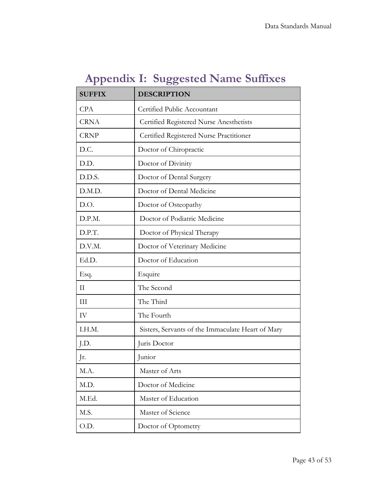|  |  | <b>Appendix I: Suggested Name Suffixes</b> |
|--|--|--------------------------------------------|
|--|--|--------------------------------------------|

<span id="page-42-0"></span>

| <b>SUFFIX</b> | <b>DESCRIPTION</b>                                |
|---------------|---------------------------------------------------|
| <b>CPA</b>    | Certified Public Accountant                       |
| <b>CRNA</b>   | Certified Registered Nurse Anesthetists           |
| <b>CRNP</b>   | Certified Registered Nurse Practitioner           |
| D.C.          | Doctor of Chiropractic                            |
| D.D.          | Doctor of Divinity                                |
| D.D.S.        | Doctor of Dental Surgery                          |
| D.M.D.        | Doctor of Dental Medicine                         |
| D.O.          | Doctor of Osteopathy                              |
| D.P.M.        | Doctor of Podiatric Medicine                      |
| D.P.T.        | Doctor of Physical Therapy                        |
| D.V.M.        | Doctor of Veterinary Medicine                     |
| Ed.D.         | Doctor of Education                               |
| Esq.          | Esquire                                           |
| $\mathbf{I}$  | The Second                                        |
| III           | The Third                                         |
| IV            | The Fourth                                        |
| I.H.M.        | Sisters, Servants of the Immaculate Heart of Mary |
| J.D.          | Juris Doctor                                      |
| Jr.           | Junior                                            |
| M.A.          | Master of Arts                                    |
| M.D.          | Doctor of Medicine                                |
| M.Ed.         | Master of Education                               |
| M.S.          | Master of Science                                 |
| O.D.          | Doctor of Optometry                               |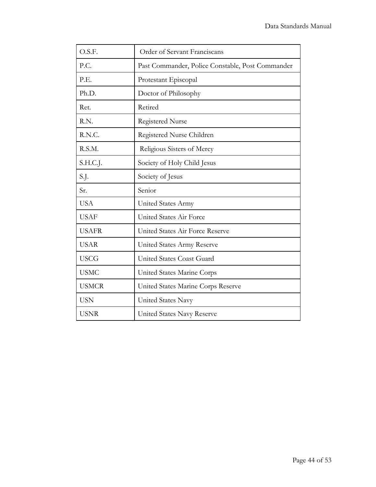| O.S.F.       | Order of Servant Franciscans                     |
|--------------|--------------------------------------------------|
| P.C.         | Past Commander, Police Constable, Post Commander |
| P.E.         | Protestant Episcopal                             |
| Ph.D.        | Doctor of Philosophy                             |
| Ret.         | Retired                                          |
| R.N.         | Registered Nurse                                 |
| R.N.C.       | Registered Nurse Children                        |
| R.S.M.       | Religious Sisters of Mercy                       |
| S.H.C.J.     | Society of Holy Child Jesus                      |
| S.J.         | Society of Jesus                                 |
| Sr.          | Senior                                           |
| <b>USA</b>   | United States Army                               |
| <b>USAF</b>  | United States Air Force                          |
| <b>USAFR</b> | United States Air Force Reserve                  |
| <b>USAR</b>  | United States Army Reserve                       |
| <b>USCG</b>  | United States Coast Guard                        |
| <b>USMC</b>  | United States Marine Corps                       |
| <b>USMCR</b> | United States Marine Corps Reserve               |
| <b>USN</b>   | United States Navy                               |
| <b>USNR</b>  | United States Navy Reserve                       |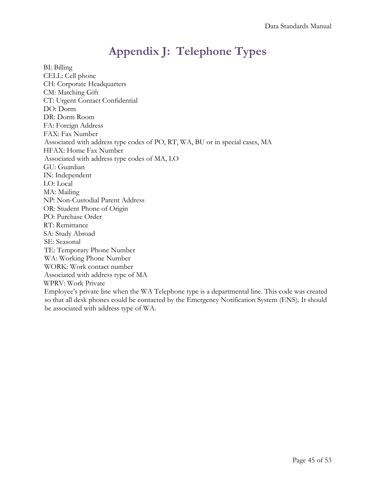# **Appendix J: Telephone Types**

<span id="page-44-1"></span><span id="page-44-0"></span>BI: Billing CELL: Cell phone CH: Corporate Headquarters CM: Matching Gift CT: Urgent Contact Confidential DO: Dorm DR: Dorm Room FA: Foreign Address FAX: Fax Number Associated with address type codes of PO, RT, WA, BU or in special cases, MA HFAX: Home Fax Number Associated with address type codes of MA, LO GU: Guardian IN: Independent LO: Local MA: Mailing NP: Non-Custodial Parent Address OR: Student Phone of Origin PO: Purchase Order RT: Remittance SA: Study Abroad SE: Seasonal TE: Temporary Phone Number WA: Working Phone Number WORK: Work contact number Associated with address type of MA WPRV: Work Private Employee's private line when the WA Telephone type is a departmental line. This code was created so that all desk phones could be contacted by the Emergency Notification System (ENS). It should be associated with address type of WA.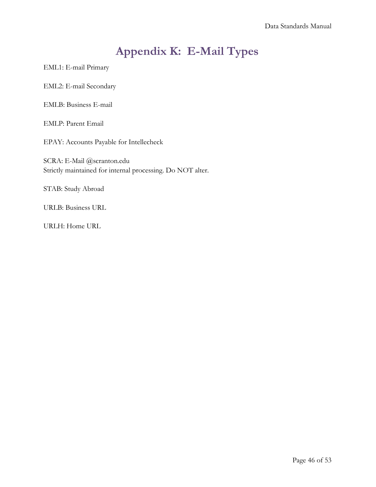# **Appendix K: E-Mail Types**

<span id="page-45-0"></span>EML1: E-mail Primary

EML2: E-mail Secondary

EMLB: Business E-mail

EMLP: Parent Email

EPAY: Accounts Payable for Intellecheck

SCRA: E-Mail @scranton.edu Strictly maintained for internal processing. Do NOT alter.

STAB: Study Abroad

URLB: Business URL

URLH: Home URL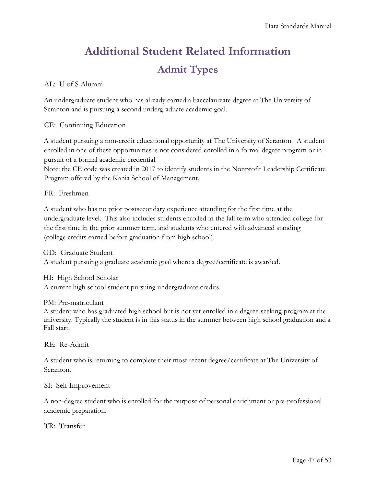# **Additional Student Related Information Admit Types**

### <span id="page-46-1"></span><span id="page-46-0"></span>AL: U of S Alumni

An undergraduate student who has already earned a baccalaureate degree at The University of Scranton and is pursuing a second undergraduate academic goal.

### CE: Continuing Education

A student pursuing a non-credit educational opportunity at The University of Scranton. A student enrolled in one of these opportunities is not considered enrolled in a formal degree program or in pursuit of a formal academic credential.

Note: the CE code was created in 2017 to identify students in the Nonprofit Leadership Certificate Program offered by the Kania School of Management.

### FR: Freshmen

A student who has no prior postsecondary experience attending for the first time at the undergraduate level. This also includes students enrolled in the fall term who attended college for the first time in the prior summer term, and students who entered with advanced standing (college credits earned before graduation from high school).

GD: Graduate Student A student pursuing a graduate academic goal where a degree/certificate is awarded.

HI: High School Scholar A current high school student pursuing undergraduate credits.

#### PM: Pre-matriculant

A student who has graduated high school but is not yet enrolled in a degree-seeking program at the university. Typically the student is in this status in the summer between high school graduation and a Fall start.

RE: Re-Admit

A student who is returning to complete their most recent degree/certificate at The University of Scranton.

#### SI: Self Improvement

A non-degree student who is enrolled for the purpose of personal enrichment or pre-professional academic preparation.

#### TR: Transfer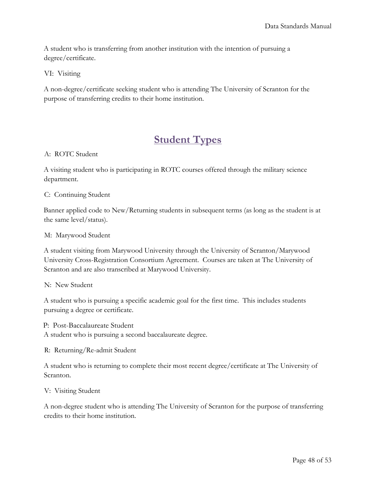A student who is transferring from another institution with the intention of pursuing a degree/certificate.

VI: Visiting

A non-degree/certificate seeking student who is attending The University of Scranton for the purpose of transferring credits to their home institution.

### **Student Types**

#### <span id="page-47-0"></span>A: ROTC Student

A visiting student who is participating in ROTC courses offered through the military science department.

C: Continuing Student

Banner applied code to New/Returning students in subsequent terms (as long as the student is at the same level/status).

M: Marywood Student

A student visiting from Marywood University through the University of Scranton/Marywood University Cross-Registration Consortium Agreement. Courses are taken at The University of Scranton and are also transcribed at Marywood University.

N: New Student

A student who is pursuing a specific academic goal for the first time. This includes students pursuing a degree or certificate.

P: Post-Baccalaureate Student A student who is pursuing a second baccalaureate degree.

R: Returning/Re-admit Student

A student who is returning to complete their most recent degree/certificate at The University of Scranton.

V: Visiting Student

A non-degree student who is attending The University of Scranton for the purpose of transferring credits to their home institution.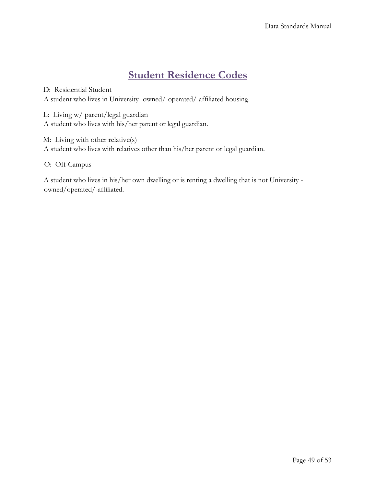## **Student Residence Codes**

<span id="page-48-0"></span>D: Residential Student A student who lives in University -owned/-operated/-affiliated housing.

L: Living w/ parent/legal guardian A student who lives with his/her parent or legal guardian.

M: Living with other relative(s) A student who lives with relatives other than his/her parent or legal guardian.

O: Off-Campus

A student who lives in his/her own dwelling or is renting a dwelling that is not University owned/operated/-affiliated.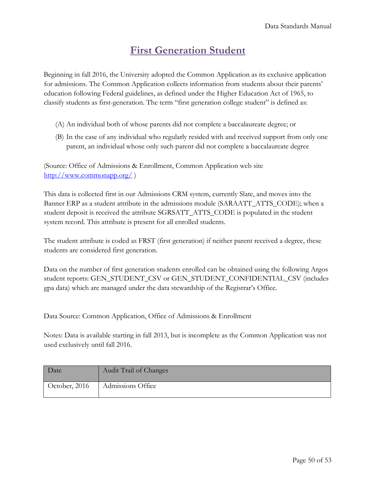### **First Generation Student**

<span id="page-49-0"></span>Beginning in fall 2016, the University adopted the Common Application as its exclusive application for admissions. The Common Application collects information from students about their parents' education following Federal guidelines, as defined under the Higher Education Act of 1965, to classify students as first-generation. The term "first generation college student" is defined as:

- (A) An individual both of whose parents did not complete a baccalaureate degree; or
- (B) In the case of any individual who regularly resided with and received support from only one parent, an individual whose only such parent did not complete a baccalaureate degree

(Source: Office of Admissions & Enrollment, Common Application web site <http://www.commonapp.org/> [\)](http://www.commonapp.org/)

This data is collected first in our Admissions CRM system, currently Slate, and moves into the Banner ERP as a student attribute in the admissions module (SARAATT\_ATTS\_CODE); when a student deposit is received the attribute SGRSATT\_ATTS\_CODE is populated in the student system record. This attribute is present for all enrolled students.

The student attribute is coded as FRST (first generation) if neither parent received a degree, these students are considered first generation.

Data on the number of first generation students enrolled can be obtained using the following Argos student reports: GEN\_STUDENT\_CSV or GEN\_STUDENT\_CONFIDENTIAL\_CSV (includes gpa data) which are managed under the data stewardship of the Registrar's Office.

Data Source: Common Application, Office of Admissions & Enrollment

Notes: Data is available starting in fall 2013, but is incomplete as the Common Application was not used exclusively until fall 2016.

| Date          | Audit Trail of Changes |
|---------------|------------------------|
| October, 2016 | Admissions Office      |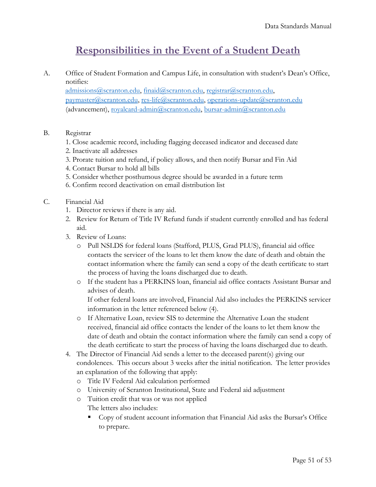### **Responsibilities in the Event of a Student Death**

<span id="page-50-0"></span>A. Office of Student Formation and Campus Life, in consultation with student's Dean's Office, notifies:

[admissions@scranton.edu,](mailto:admissions@scranton.edu) [finaid@scranton.edu,](mailto:finaid@scranton.edu) [registrar@scranton.edu,](mailto:registrar@scranton.edu) [paymaster@scranton.edu,](mailto:paymaster@scranton.edu) [res-life@scranton.edu,](mailto:res-life@scranton.edu) [operations-update@scranton.edu](mailto:operations-update@scranton.edu) (advancement), [royalcard-admin@scranton.edu,](mailto:royalcard-admin@scranton.edu) [bursar-admin@scranton.edu](mailto:bursar-admin@scranton.edu)

### B. Registrar

- 1. Close academic record, including flagging deceased indicator and deceased date
- 2. Inactivate all addresses
- 3. Prorate tuition and refund, if policy allows, and then notify Bursar and Fin Aid
- 4. Contact Bursar to hold all bills
- 5. Consider whether posthumous degree should be awarded in a future term
- 6. Confirm record deactivation on email distribution list

### C. Financial Aid

- 1. Director reviews if there is any aid.
- 2. Review for Return of Title IV Refund funds if student currently enrolled and has federal aid.
- 3. Review of Loans:
	- o Pull NSLDS for federal loans (Stafford, PLUS, Grad PLUS), financial aid office contacts the servicer of the loans to let them know the date of death and obtain the contact information where the family can send a copy of the death certificate to start the process of having the loans discharged due to death.
	- o If the student has a PERKINS loan, financial aid office contacts Assistant Bursar and advises of death.

If other federal loans are involved, Financial Aid also includes the PERKINS servicer information in the letter referenced below (4).

- o If Alternative Loan, review SIS to determine the Alternative Loan the student received, financial aid office contacts the lender of the loans to let them know the date of death and obtain the contact information where the family can send a copy of the death certificate to start the process of having the loans discharged due to death.
- 4. The Director of Financial Aid sends a letter to the deceased parent(s) giving our condolences. This occurs about 3 weeks after the initial notification. The letter provides an explanation of the following that apply:
	- o Title IV Federal Aid calculation performed
	- o University of Scranton Institutional, State and Federal aid adjustment
	- o Tuition credit that was or was not applied The letters also includes:
		- Copy of student account information that Financial Aid asks the Bursar's Office to prepare.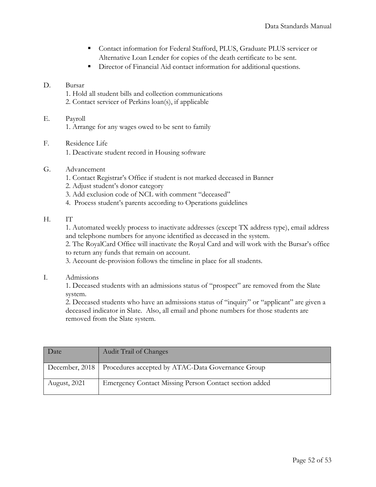- Contact information for Federal Stafford, PLUS, Graduate PLUS servicer or Alternative Loan Lender for copies of the death certificate to be sent.
- **•** Director of Financial Aid contact information for additional questions.

#### D. Bursar

- 1. Hold all student bills and collection communications
- 2. Contact servicer of Perkins loan(s), if applicable

### E. Payroll

- 1. Arrange for any wages owed to be sent to family
- F. Residence Life 1. Deactivate student record in Housing software
- G. Advancement
	- 1. Contact Registrar's Office if student is not marked deceased in Banner
	- 2. Adjust student's donor category
	- 3. Add exclusion code of NCL with comment "deceased"
	- 4. Process student's parents according to Operations guidelines

#### H. IT

1. Automated weekly process to inactivate addresses (except TX address type), email address and telephone numbers for anyone identified as deceased in the system.

2. The RoyalCard Office will inactivate the Royal Card and will work with the Bursar's office to return any funds that remain on account.

3. Account de-provision follows the timeline in place for all students.

I. Admissions

1. Deceased students with an admissions status of "prospect" are removed from the Slate system.

2. Deceased students who have an admissions status of "inquiry" or "applicant" are given a deceased indicator in Slate. Also, all email and phone numbers for those students are removed from the Slate system.

| Date         | Audit Trail of Changes                                             |
|--------------|--------------------------------------------------------------------|
|              | December, 2018   Procedures accepted by ATAC-Data Governance Group |
| August, 2021 | Emergency Contact Missing Person Contact section added             |